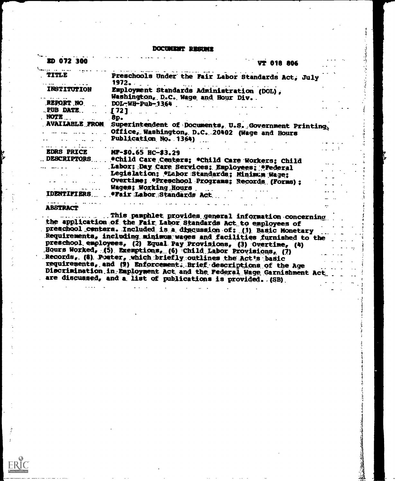DOCUMENT RESULTS

**ままず、ここではなくと思いないです。 こんそばく くうす** 

 $\sim 22\,h_{\rm disk}$ 

医中毒激素 医牙

 $\frac{1}{2}$  $\ddot{ }$  $\frac{1}{2}$  $\frac{16}{3}$ L,  $\zeta$ رندي المعاملة

i. Ý í Î

ł -3 Ĵ

section," advise

Ĩ  $\frac{1}{2}$ whether the first

**Andrew Schweizer und Schweizer und Schweizer und Schweizer und Schweizer und Schweizer und Schweizer und Schwe**<br>Bergerung

| ED 072 300             | VT 018 806                                                                                                                                      |  |
|------------------------|-------------------------------------------------------------------------------------------------------------------------------------------------|--|
| TITLE                  | Preschools Under the Fair Labor Standards Act, July<br>1972.<br>$\mathbf{r}$ . The set                                                          |  |
| <b>INSTITUTION</b>     | Employment Standards Administration (DOL),<br>Washington, D.C. Wage and Hour Div. .                                                             |  |
| <b>REPORT NO</b>       | DOL-WH-Pub-1364                                                                                                                                 |  |
| PUB DATE               | . [72].                                                                                                                                         |  |
| MOTE                   | 8p.                                                                                                                                             |  |
|                        | AVAILABLE FROM Superintendent of Documents, U.S. Government Printing<br>Office, Washington, D.C. 20402 (Wage and Hours<br>Publication No. 1364) |  |
| .<br><b>EDRS PRICE</b> |                                                                                                                                                 |  |
|                        | MP-\$0.65 HC-\$3.29                                                                                                                             |  |
| <b>DESCRIPTORS</b>     | *Child Care Centers; *Child Care Workers; Child                                                                                                 |  |
|                        | Labor; Day Care Services; Employees; #Federal                                                                                                   |  |
|                        | Legislation; *Labor Standards; Minimum Wage;                                                                                                    |  |
|                        | Overtime; *Preschool Programs; Records (Forms);                                                                                                 |  |
|                        | Wages; Working Hours                                                                                                                            |  |
|                        | IDENTIFIERS  Frair Labor Standards Act                                                                                                          |  |
| <b>ABSTRACT</b>        |                                                                                                                                                 |  |
|                        | This pamphlet provides general information concerning<br>the application of the Fair Labor Standards Act to employees of                        |  |
|                        | preschool centers. Included is a discussion of: (1) Basic Monetary                                                                              |  |
|                        | Requirements, including minimum wages and facilities furnished to the                                                                           |  |
|                        | preschool employees, (2) Equal Pay Provisions, (3) Overtime, (4)                                                                                |  |
|                        | Hours Worked, (5) Exemptions, (6) Child Labor Provisions, (7)                                                                                   |  |
|                        | Records, (8) Poster, which briefly outlines the Act's basic                                                                                     |  |
|                        | requirements, and (9) Enforcement. Brief descriptions of the Age                                                                                |  |
|                        | Discrimination in Employment Act and the Federal Wage Garnishment Act.<br>are discussed, and a list of publications is provided. (SB)           |  |

 $\bar{z}$ 

 $ERIC$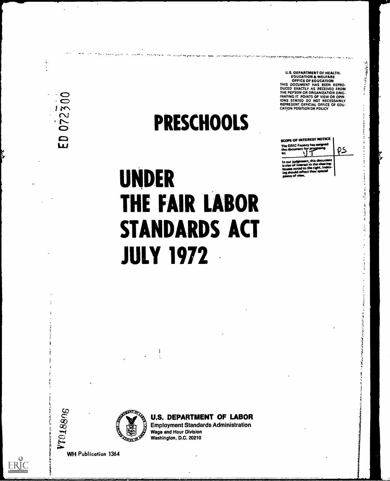$\hat{\alpha}$ 

 $\ddot{\cdot}$ 

## **PRESCHOOLS**

ころいいかん あるか

 $\overline{1}$ 

 $\vec{z}$ 

 $\mathcal{A}_k$  is  $\mathcal{A}_k$  $\ddot{\phantom{a}}$ 

Į,  $\frac{1}{2}$ 

アルティー はげききをうめ

ばっけいちゅう うちきょく なましょう すきばくこくき

U.S. OEPARTMENT OF HEALTH.<br>
EQUCATION & WELFARE<br>
OFFICE OF EQUCATION<br>
THIS DOCUMENT HAS BEEN REPRO-<br>
DUCED EXACTLY AS RECEIVED FROM<br>
THE PEPSON OR DRSANIZATION DRIG-<br>
INATING IT POINTS OF VIEW OR OPIN.<br>
INATING IT POINTS O

**CATION POSITION OR POLICY** 

SCOPE OF INTEREST NOTICE The ERIC Facility has a

to:

In our judg<br>isalso of in<br>h

oroo

, this d est to the cl ed to the right, In 05

# **UNDER** THE FAIR LABOR **STANDARDS ACT JULY 1972**

**CHINE RATIFOL**  ł

**U.S. DEPARTMENT OF LABOR Employment Standards Administration Wage and Hour Division** Washington, D.C. 20210

**WH Publication 1364** 

VT018806

**ERIC**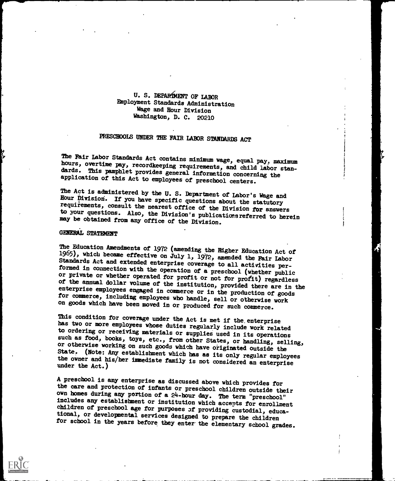#### U. S. DEPARiMENT OF LABOR Employment Standards Administration Wage and Hour Division Washington, D. C. 20210

## PRESCHOOLS UNDER THE FAIR LABOR STANDARDS ACT

The Fair Labor Standards Act contains minimum wage, equal pay, maximum hours, overtime pay, recordkeeping requirements, and child labor standards. This pamphlet provides general information concerning the application of th

The Act is administered by the U. S. Department of Labor's Wage and Hour Division. If you have specific questions about the statutory requirements, consult the nearest office of the Division for answers to your questions. Also, the Division's publications referred to herein may be obtained from any office of the Division.

#### GENERAL STATEMENT

The Education Amendments of 1972 (amending the Higher Education Act of 1965), which became effective on July 1, 1972, amended the Fair Labor Standards Act and extended enterprise coverage to all activities performed in con

This condition for coverage under the Act is met if the enterprise has two or more employees whose duties regularly include work related to ordering or receiving materials or supplies used in its operations such as food, b or otherwise working on such goods which have originated outside the State. (Note: Any establishment which has as its only regular employees the owner and his/her immediate family is not considered an enterprise under the

A preschool is any enterprise as discussed above which provides for<br>the care and protection of infants or preschool children outside their<br>own homes during any portion of a  $24$ -hour day. The term "preschool"<br>includes any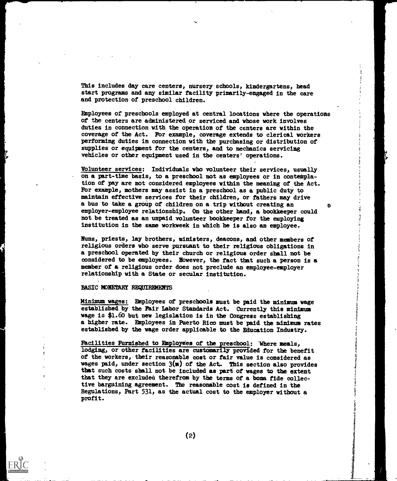This includes day care centers, nursery schools, kindergartens, head start programs and any similar facility primarily-engaged in the care and protection of preschool children.

Employees of preschools employed at central locations where the operations of the centers are administered or serviced and whose work involves duties in connection with the operation of the centers are within the coverage of the Act. For example, coverage extends to clerical workers performing duties in connection with the purchasing or distribution of supplies or equipment for the centers, and to mechanics servicing vehicles or other equipment used in the centers' operations.

Volunteer services: Individuals who volunteer their services, usually on a part-time basis, to a preschool not as employees or in contemplation of pay are not considered employees within the meaning of the Act. For example, mothers may assist in a preschool as a public duty to maintain effective services for their children, or fathers may drive a bus to take a group of children on a trip without creating an employer-employee relationship. On the other hand, a bookkeeper could not be treated as an unpaid volunteer bookkeeper for the employing institution in the same workweek in which he is also an employee.

 $\omega$ 

Nuns, priests, lay brothers, ministers, deacons, and other members of religious orders who serve pursuant to their religious obligations in a preschool operated by their church or religious order shall not be considered to be employees. However, the fact that such a person is a member of a religious order does not preclude an employee-employer relationship with a State or secular institution.

#### BASIC MONETARY REQUIREMENTS

Minimum wages: Employees of preschools must be paid the minimum wage established by the Fair Labor Standards Act. Currently this minimum wage is \$1.60 but new legislation is in the Congress establishing a higher rate. Employees in Puerto Rico must be paid the minimum rates established by the wage order applicable to the Education Industry.

Facilities Furnished to Employees of the preschool: 'Where meals, lodging, or other facilities are customarily provided for the benefit of the workers, their reasonable cost or fair value is considered as wages paid, under section  $3(m)$  of the Act. This section also provides that such costs shall not be included as part of wages to the extent that they are excluded therefrom by the terms of a bona fide collective bargaining agreement. The reasonable cost is defined in the Regulations, Part 531, as the actual cost to the employer without a profit.

(2)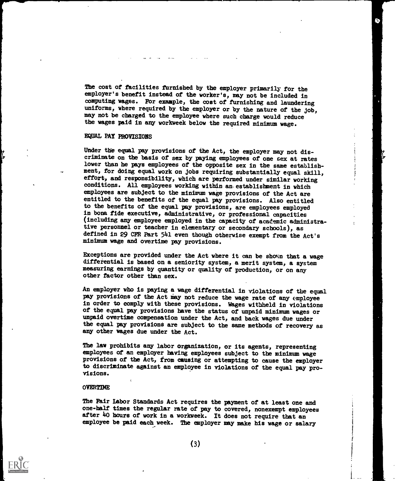The cost of facilities furnished by the employer primarily for the employer's benefit instead of the worker's, may not be included in computing wages. Fbr example, the cost of furnishing and laundering uniforms, where required by the employer or by the nature of the job, may not be charged to the employee where such charge would reduce the wages paid in any workweek below the required minimum wage.

#### EQUAL PAY PROVISIONS

Under the equal pay provisions of the Act, the employer may not discriminate on the basis of sex by paying employees of one sex at rates lower than he pays employees of the opposite sex in the same establish ment, for doing equal work on jobs requiring substantially equal skill, effort, and responsibility, which are performed under similar working conditions. All employees working within an. establishment in which employees are subject to the minimum wage provisions of the Act are entitled to the benefits of the equal pay provisions. Also entitled to the benefits of the equal pay provisions, are employees employed in bona fide executive, administrative, or professional capacities (including any employee employed in the capacity of academic administrative personnel or teacher in elementary or secondary schools), as defined in 29 CFR Part 541 even though otherwise exempt from the Act's minimum wage and overtime pay provisions.

Exceptions are provided under the Act where it can be shown that a wage differential is based on a seniority system, a merit system, a system measuring earnings by quantity or quality of production, or on any other factor other than sex.

An employer who is paying a wage differential in violations of the equal pay provisions of the Act may not reduce the wage rate of any employee in order to comply with these provisions. Wages withheld in violations of the equal pay provisions have the status of unpaid minimum wages or unpaid overtime compensation under the Act, and back wages due under the equal pay provisions are subject to the same methods of recovery as any other wages due under the Act.

The law prohibits any labor organization, or its agents, representing employees of an employer having employees subject to the minimum wage provisions of the Act, from causing or attempting to cause the employer to discriminate against an employee in violations of the equal pay provisions.

#### OVERTIME

The Fair Labor Standards Act requires the payment of at least one and one -half times the regular rate of pay to covered, nonexempt employees after 4o hours of work in a workweek. It does not require that an employee be paid each week. The employer may make his wage or salary

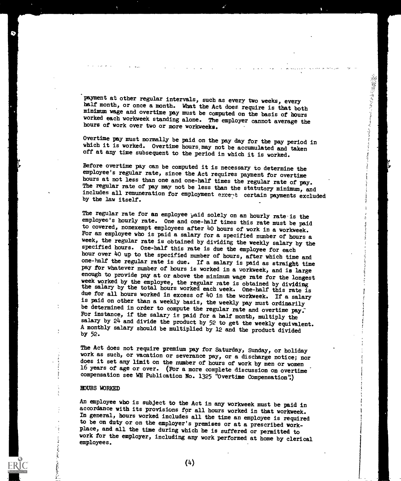payment at other regular intervals, such as every two weeks, every half month, or once a month. What the Act does require is that both minimum wage and overtime pay must be computed on the basis of hours worked each workweek standing alone. The employer cannot average the hours of work over two or more workweeks.

「大学のことをいくのかい こうかんかん こうきょう

Overtime pay must normally be paid on the pay day for the pay period in which it is worked. Overtime hours may not be accumulated and taken off at any time subsequent to the period in which it is worked.

Before overtime pay can be computed it is necessary to determine the employee's regular rate, since the Act requires payment for overtime hours at not less than one and one-half times the regular rate of pay. The regular rate of pay may not be less than the statutory minimum, and includes all remuneration for employment exce-,t certain payments excluded by the law itself.

The regular rate for an employee  $_{\rm p}$ aid solely on an hourly rate is the employee's hourly rate. One and one-half times this rate must be paid to covered, nonexempt employees after 40 hours of work in a workweek. For an employee who is paid a salary for a specified number of hours a week, the regular rate is obtained by dividing the weekly salary by the specified hours. One-half this rate is due the employee for each hour over 40 up to the specified number of hours, after which time and one-half the regular rate is due. If a salary is paid as straight time pay for whatever number of hours is worked in a workweek, and is large enough to provide pay at or above the minimum wage rate for the longest week worked by the employee, the regular rate is obtained by dividing the salary by the total hours worked each week. One-half this rate is due for all hours worked in excess of  $40$  in the workweek. If a salary is paid on other than a weekly basis, the weekly pay must ordinarily be determined in order to compute the regular rate and overtime pay. For instance, if the salary is paid for a half month, multiply the salary by 24 and divide the product by 52 to get the weekly equivalent. A monthly salary should be multiplied by 12 and the product divided by 52.

The Act does not require premium pay for Saturday, Sunday, or holiday work as such, or vacation or severance pay, or a discharge notice; nor does it set any limit on the number of hours of work by men or women 16 years of age or over. (For a more complete discussion on overtime compensation see WH Publication No. 1325 "Overtime Compensation".)

#### HOURS WORKED

An employee who is subject to the Act in any workweek must be paid in accordance with its provisions for all hours worked in that workweek. In general, hours worked includes all the time an employee is required to be on duty or on the employer's premises or at a prescribed workplace, and all the time during which he is suffered or permitted to work for the employer, including any work performed at home by clerical employees.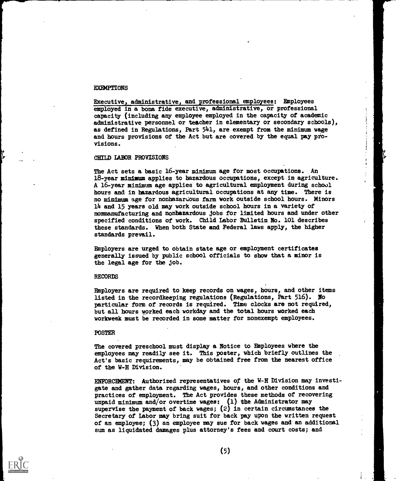#### EXEMPTIONS

Executive, administrative, and professional employees: Employees employed in a bona fide executive, administrative, or professional capacity (including any employee employed in the capacity of academic administrative personnel or teacher in elementary or secondary schools), as defined in Regulations, Part 541, are exempt from the minimum wage and hours provisions of the Act but are covered by the equal pay provisions.

#### CHILD LABOR PROVISIONS

The Act sets a basic 16-year minimum age for most occupations. An 18-year minimum applies to hazardous occupations, except in agriculture. A 16-year minimum age applies to agricultural employment during school hours and in hazardous agricultural occupations at any time. There is no minimum age for nonhazardous farm work outside school hours. Minors 14 and 15 years old may work outside school hours in a variety of nonmanufacturing and nonhazardous jobs for limited hours and under other specified conditions of work. Child Labor Bulletin No. 101 describes these standards. When both State and Federal laws apply, the higher standards prevail.

Employers are urged to obtain state age or employment certificates generally issued by public school officials to show that a minor is the legal age for the job.

#### RECORDS

Employers are required to keep records on wages, hours, and other items listed in the recordkeeping regulations (Regulations, Part 516). NO particular form of records is required. Time clocks are not required, but all hours worked each workday and the total hours worked each workweek must be recorded in some matter for nonexempt employees.

#### POSTER

The covered preschool must display a Notice to Employees where the employees may readily see it. This poster, which briefly outlines the Act's basic requirements, may be obtained free from the nearest office of the W-H Division.

ENFORCEMENT: Authorized representatives or the W-H Division may investigate and gather data regarding wages, hours, and other conditions and practices of employment. The Act provides these methods of recovering unpaid minimum and/or overtime wages:  $(1)$  the Administrator may supervise the payment of back wages; (2) in certain circumstances the Secretary of Labor may bring suit for back pay upon the written request of an employee; (3) an employee may sue for back wages and an additional sum as liquidated damages plus attorney's fees and court costs; and

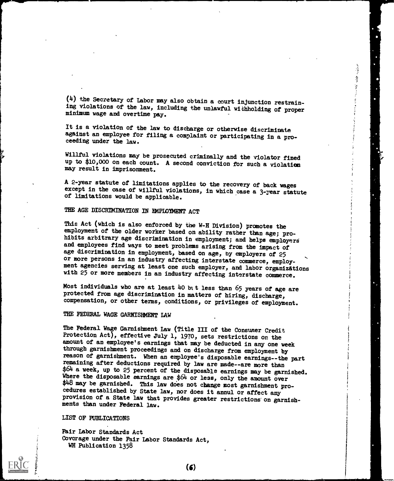(4) the Secretary of Labor may also obtain a court injunction restraining violations of the law, including the unlawful withholding of proper minimum wage and overtime pay.

It is a violation of the law to discharge or otherwise discriminate against an employee for filing a complaint or participating in a pro- ceeding under the law.

Willful violations may be prosecuted criminally and the violator fined up to \$10,000 on each count. A second conviction for such a violation may result in imprisonment.

A 2-year statute of limitations applies to the recovery of back wages except in the case of willful violations, in which case a 3-year statute of limitations would be applicable.

### THE AGE DISCRIMINATION IN EMPLOYMENT ACT

This Act (which is also enforced by the W-H Division) promotes the employment of the older worker based on ability rather than age; prohibits arbitrary age discrimination in employment; and helps employers and employees find ways to meet problems arising from the impact of age discrimination in employment, based on age, by employers of 25 or more persons in an industry affecting interstate commerce, employment agencies serving at least one such employer, and labor organizations with 25 or more members in an industry affecting interstate commerce.

Most individuals who are at least 40 bit less than 65 years of age are protected from age discrimination in matters of hiring, discharge, compensation, or other terms, conditions, or privileges of employment.

#### THE FEDERAL WAGE GARNISHMENT LAW

The Federal Wage Garnishment Law (Title III of the Consumer Credit Protection Act), effective July 1, 1970, sets restrictions on the amount of an employee's earnings that may be deducted in any one week through garnishment proceedings and on discharge from employment by reason of garnishment. When an employee's disposable earnings--the part remaining after deductions required by law are made--are more than \$64 a week, up to 25 percent of the disposable earnings may be garnished. Where the disposable earnings are \$64 or less, only the amount over \$48 may be garnished. This law does not change most garnishment procedures established by State law, nor does it annul or affect any provision of a State law that provides greater restrictions on garnishments than under Federal law.

LIST OF PUBLICATIONS

Fair Labor Standards Act Coverage under the Fair Labor Standards Act, WH Publication 1358